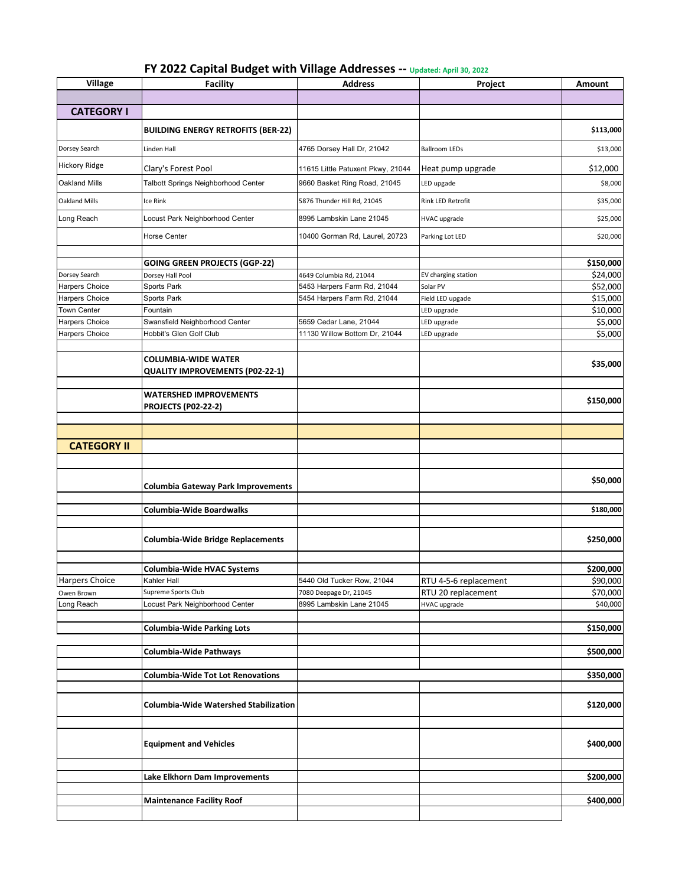| FY 2022 Capital Budget with Village Addresses -- Updated: April 30, 2022 |  |
|--------------------------------------------------------------------------|--|
|--------------------------------------------------------------------------|--|

| <b>Village</b>       | <b>Facility</b>                              | <b>Address</b>                    | Project                  | <b>Amount</b> |
|----------------------|----------------------------------------------|-----------------------------------|--------------------------|---------------|
|                      |                                              |                                   |                          |               |
| <b>CATEGORY I</b>    |                                              |                                   |                          |               |
|                      |                                              |                                   |                          |               |
|                      | <b>BUILDING ENERGY RETROFITS (BER-22)</b>    |                                   |                          | \$113,000     |
| Dorsey Search        | Linden Hall                                  | 4765 Dorsey Hall Dr, 21042        | <b>Ballroom LEDs</b>     | \$13,000      |
| <b>Hickory Ridge</b> | Clary's Forest Pool                          | 11615 Little Patuxent Pkwy, 21044 | Heat pump upgrade        | \$12,000      |
| Oakland Mills        | Talbott Springs Neighborhood Center          | 9660 Basket Ring Road, 21045      | LED upgade               | \$8,000       |
| <b>Oakland Mills</b> | Ice Rink                                     | 5876 Thunder Hill Rd, 21045       | <b>Rink LED Retrofit</b> | \$35,000      |
| Long Reach           | Locust Park Neighborhood Center              | 8995 Lambskin Lane 21045          | <b>HVAC</b> upgrade      | \$25,000      |
|                      | <b>Horse Center</b>                          | 10400 Gorman Rd, Laurel, 20723    | Parking Lot LED          | \$20,000      |
|                      |                                              |                                   |                          |               |
|                      | <b>GOING GREEN PROJECTS (GGP-22)</b>         |                                   |                          | \$150,000     |
| Dorsey Search        | Dorsey Hall Pool                             | 4649 Columbia Rd, 21044           | EV charging station      | \$24,000      |
| Harpers Choice       | Sports Park                                  | 5453 Harpers Farm Rd, 21044       | Solar PV                 | \$52,000      |
| Harpers Choice       | Sports Park                                  | 5454 Harpers Farm Rd, 21044       | Field LED upgade         | \$15,000      |
| <b>Town Center</b>   | Fountain                                     |                                   | LED upgrade              | \$10,000      |
| Harpers Choice       | Swansfield Neighborhood Center               | 5659 Cedar Lane, 21044            | LED upgrade              | \$5,000       |
| Harpers Choice       | Hobbit's Glen Golf Club                      | 11130 Willow Bottom Dr, 21044     | LED upgrade              | \$5,000       |
|                      |                                              |                                   |                          |               |
|                      | <b>COLUMBIA-WIDE WATER</b>                   |                                   |                          | \$35,000      |
|                      | <b>QUALITY IMPROVEMENTS (P02-22-1)</b>       |                                   |                          |               |
|                      | <b>WATERSHED IMPROVEMENTS</b>                |                                   |                          |               |
|                      | <b>PROJECTS (P02-22-2)</b>                   |                                   |                          | \$150,000     |
|                      |                                              |                                   |                          |               |
|                      |                                              |                                   |                          |               |
|                      |                                              |                                   |                          |               |
| <b>CATEGORY II</b>   |                                              |                                   |                          |               |
|                      |                                              |                                   |                          |               |
|                      |                                              |                                   |                          |               |
|                      | <b>Columbia Gateway Park Improvements</b>    |                                   |                          | \$50,000      |
|                      |                                              |                                   |                          |               |
|                      | Columbia-Wide Boardwalks                     |                                   |                          | \$180,000     |
|                      |                                              |                                   |                          |               |
|                      |                                              |                                   |                          |               |
|                      | <b>Columbia-Wide Bridge Replacements</b>     |                                   |                          | \$250,000     |
|                      |                                              |                                   |                          |               |
|                      | Columbia-Wide HVAC Systems                   |                                   |                          | \$200,000     |
| Harpers Choice       | Kahler Hall                                  | 5440 Old Tucker Row, 21044        | RTU 4-5-6 replacement    | \$90,000      |
| Owen Brown           | Supreme Sports Club                          | 7080 Deepage Dr, 21045            | RTU 20 replacement       | \$70,000      |
| Long Reach           | Locust Park Neighborhood Center              | 8995 Lambskin Lane 21045          | <b>HVAC</b> upgrade      | \$40,000      |
|                      |                                              |                                   |                          |               |
|                      | <b>Columbia-Wide Parking Lots</b>            |                                   |                          | \$150,000     |
|                      |                                              |                                   |                          |               |
|                      | Columbia-Wide Pathways                       |                                   |                          | \$500,000     |
|                      |                                              |                                   |                          |               |
|                      | <b>Columbia-Wide Tot Lot Renovations</b>     |                                   |                          | \$350,000     |
|                      |                                              |                                   |                          |               |
|                      | <b>Columbia-Wide Watershed Stabilization</b> |                                   |                          | \$120,000     |
|                      |                                              |                                   |                          |               |
|                      |                                              |                                   |                          |               |
|                      | <b>Equipment and Vehicles</b>                |                                   |                          | \$400,000     |
|                      |                                              |                                   |                          |               |
|                      |                                              |                                   |                          |               |
|                      | Lake Elkhorn Dam Improvements                |                                   |                          | \$200,000     |
|                      |                                              |                                   |                          |               |
|                      | <b>Maintenance Facility Roof</b>             |                                   |                          | \$400,000     |
|                      |                                              |                                   |                          |               |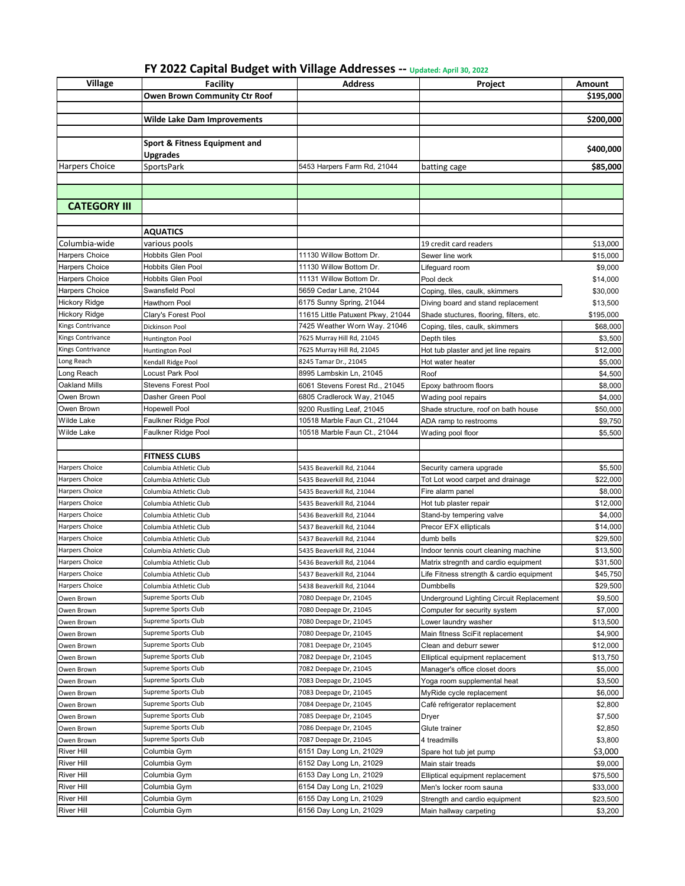| FY 2022 Capital Budget with Village Addresses -- Updated: April 30, 2022 |  |
|--------------------------------------------------------------------------|--|
|--------------------------------------------------------------------------|--|

| Village                                | <b>Facility</b>                           | <b>Address</b>                                     | Project                                                  | Amount               |
|----------------------------------------|-------------------------------------------|----------------------------------------------------|----------------------------------------------------------|----------------------|
|                                        | <b>Owen Brown Community Ctr Roof</b>      |                                                    |                                                          | \$195,000            |
|                                        |                                           |                                                    |                                                          |                      |
|                                        | <b>Wilde Lake Dam Improvements</b>        |                                                    |                                                          | \$200,000            |
|                                        |                                           |                                                    |                                                          |                      |
|                                        | Sport & Fitness Equipment and             |                                                    |                                                          |                      |
|                                        | <b>Upgrades</b>                           |                                                    |                                                          | \$400,000            |
| Harpers Choice                         | SportsPark                                | 5453 Harpers Farm Rd, 21044                        | batting cage                                             | \$85,000             |
|                                        |                                           |                                                    |                                                          |                      |
|                                        |                                           |                                                    |                                                          |                      |
| <b>CATEGORY III</b>                    |                                           |                                                    |                                                          |                      |
|                                        |                                           |                                                    |                                                          |                      |
|                                        |                                           |                                                    |                                                          |                      |
|                                        | <b>AQUATICS</b>                           |                                                    |                                                          |                      |
| Columbia-wide                          | various pools<br><b>Hobbits Glen Pool</b> | 11130 Willow Bottom Dr.                            | 19 credit card readers                                   | \$13,000             |
| Harpers Choice                         |                                           |                                                    | Sewer line work                                          | \$15,000             |
| Harpers Choice                         | Hobbits Glen Pool                         | 11130 Willow Bottom Dr.                            | Lifeguard room                                           | \$9,000              |
| Harpers Choice                         | <b>Hobbits Glen Pool</b>                  | 11131 Willow Bottom Dr.                            | Pool deck                                                | \$14,000             |
| Harpers Choice                         | Swansfield Pool                           | 5659 Cedar Lane, 21044                             | Coping, tiles, caulk, skimmers                           | \$30,000             |
| <b>Hickory Ridge</b>                   | Hawthorn Pool                             | 6175 Sunny Spring, 21044                           | Diving board and stand replacement                       | \$13,500             |
| <b>Hickory Ridge</b>                   | Clary's Forest Pool                       | 11615 Little Patuxent Pkwy, 21044                  | Shade stuctures, flooring, filters, etc.                 | \$195,000            |
| Kings Contrivance<br>Kings Contrivance | Dickinson Pool                            | 7425 Weather Worn Way. 21046                       | Coping, tiles, caulk, skimmers                           | \$68,000             |
|                                        | Huntington Pool                           | 7625 Murray Hill Rd, 21045                         | Depth tiles                                              | \$3,500              |
| Kings Contrivance                      | Huntington Pool                           | 7625 Murray Hill Rd, 21045                         | Hot tub plaster and jet line repairs                     | \$12,000             |
| Long Reach                             | Kendall Ridge Pool                        | 8245 Tamar Dr., 21045<br>8995 Lambskin Ln, 21045   | Hot water heater                                         | \$5,000              |
| Long Reach<br><b>Oakland Mills</b>     | Locust Park Pool                          |                                                    | Roof                                                     | \$4,500              |
| Owen Brown                             | Stevens Forest Pool<br>Dasher Green Pool  | 6061 Stevens Forest Rd., 21045                     | Epoxy bathroom floors                                    | \$8,000              |
| Owen Brown                             | <b>Hopewell Pool</b>                      | 6805 Cradlerock Way, 21045                         | Wading pool repairs                                      | \$4,000              |
|                                        |                                           | 9200 Rustling Leaf, 21045                          | Shade structure, roof on bath house                      | \$50,000             |
| <b>Wilde Lake</b>                      | Faulkner Ridge Pool                       | 10518 Marble Faun Ct., 21044                       | ADA ramp to restrooms                                    | \$9,750              |
| Wilde Lake                             | Faulkner Ridge Pool                       | 10518 Marble Faun Ct., 21044                       | Wading pool floor                                        | \$5,500              |
|                                        | <b>FITNESS CLUBS</b>                      |                                                    |                                                          |                      |
| <b>Harpers Choice</b>                  | Columbia Athletic Club                    | 5435 Beaverkill Rd, 21044                          | Security camera upgrade                                  | \$5,500              |
| Harpers Choice                         | Columbia Athletic Club                    | 5435 Beaverkill Rd, 21044                          | Tot Lot wood carpet and drainage                         | \$22,000             |
| <b>Harpers Choice</b>                  | Columbia Athletic Club                    | 5435 Beaverkill Rd, 21044                          | Fire alarm panel                                         | \$8,000              |
| Harpers Choice                         | Columbia Athletic Club                    | 5435 Beaverkill Rd, 21044                          | Hot tub plaster repair                                   | \$12,000             |
| <b>Harpers Choice</b>                  | Columbia Athletic Club                    | 5436 Beaverkill Rd, 21044                          | Stand-by tempering valve                                 | \$4,000              |
| Harpers Choice                         | Columbia Athletic Club                    | 5437 Beaverkill Rd, 21044                          | Precor EFX ellipticals                                   | \$14,000             |
| Harpers Choice                         | Columbia Athletic Club                    | 5437 Beaverkill Rd, 21044                          | dumb bells                                               | \$29,500             |
| Harpers Choice                         | Columbia Athletic Club                    | 5435 Beaverkill Rd, 21044                          | Indoor tennis court cleaning machine                     | \$13,500             |
| <b>Harpers Choice</b>                  | Columbia Athletic Club                    | 5436 Beaverkill Rd, 21044                          | Matrix stregnth and cardio equipment                     | \$31,500             |
| <b>Harpers Choice</b>                  | Columbia Athletic Club                    | 5437 Beaverkill Rd, 21044                          | Life Fitness strength & cardio equipment                 | \$45,750             |
| Harpers Choice                         | Columbia Athletic Club                    | 5438 Beaverkill Rd, 21044                          | Dumbbells                                                | \$29,500             |
| Owen Brown                             |                                           |                                                    |                                                          |                      |
|                                        |                                           |                                                    |                                                          |                      |
|                                        | Supreme Sports Club                       | 7080 Deepage Dr, 21045                             | Underground Lighting Circuit Replacement                 | \$9,500              |
| Owen Brown                             | Supreme Sports Club                       | 7080 Deepage Dr, 21045                             | Computer for security system                             | \$7,000              |
| Owen Brown                             | Supreme Sports Club                       | 7080 Deepage Dr, 21045                             | Lower laundry washer                                     | \$13,500             |
| Owen Brown                             | Supreme Sports Club                       | 7080 Deepage Dr, 21045                             | Main fitness SciFit replacement                          | \$4,900              |
| Owen Brown                             | Supreme Sports Club                       | 7081 Deepage Dr, 21045                             | Clean and deburr sewer                                   | \$12,000             |
| Owen Brown                             | Supreme Sports Club                       | 7082 Deepage Dr, 21045                             | Elliptical equipment replacement                         | \$13,750             |
| Owen Brown                             | Supreme Sports Club                       | 7082 Deepage Dr, 21045                             | Manager's office closet doors                            | \$5,000              |
| Owen Brown                             | Supreme Sports Club                       | 7083 Deepage Dr, 21045                             | Yoga room supplemental heat                              | \$3,500              |
| Owen Brown                             | Supreme Sports Club                       | 7083 Deepage Dr, 21045                             | MyRide cycle replacement                                 | \$6,000              |
| Owen Brown                             | Supreme Sports Club                       | 7084 Deepage Dr, 21045                             | Café refrigerator replacement                            | \$2,800              |
| Owen Brown                             | Supreme Sports Club                       | 7085 Deepage Dr, 21045                             | Dryer                                                    | \$7,500              |
| Owen Brown                             | Supreme Sports Club                       | 7086 Deepage Dr, 21045                             | Glute trainer                                            | \$2,850              |
| Owen Brown                             | Supreme Sports Club                       | 7087 Deepage Dr, 21045                             | 4 treadmills                                             | \$3,800              |
| <b>River Hill</b>                      | Columbia Gym                              | 6151 Day Long Ln, 21029                            | Spare hot tub jet pump                                   | \$3,000              |
| <b>River Hill</b>                      | Columbia Gym                              | 6152 Day Long Ln, 21029                            | Main stair treads                                        | \$9,000              |
| <b>River Hill</b>                      | Columbia Gym                              | 6153 Day Long Ln, 21029                            | Elliptical equipment replacement                         | \$75,500             |
| <b>River Hill</b><br><b>River Hill</b> | Columbia Gym<br>Columbia Gym              | 6154 Day Long Ln, 21029<br>6155 Day Long Ln, 21029 | Men's locker room sauna<br>Strength and cardio equipment | \$33,000<br>\$23,500 |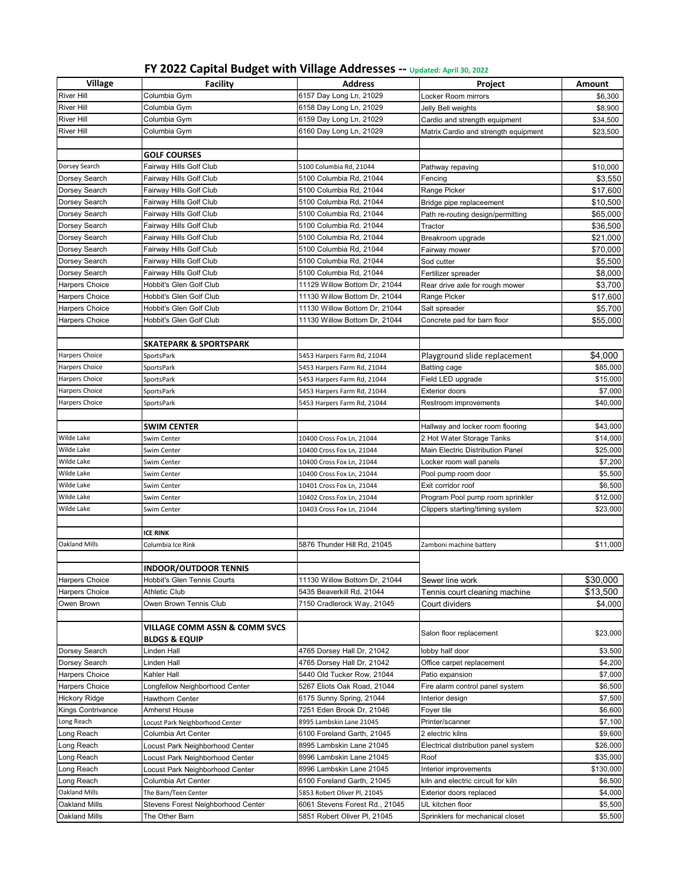| FY 2022 Capital Budget with Village Addresses -- Updated: April 30, 2022 |  |
|--------------------------------------------------------------------------|--|
|--------------------------------------------------------------------------|--|

| Village                        | <b>Facility</b>                                    | <b>Address</b>                 | Project                              | Amount    |
|--------------------------------|----------------------------------------------------|--------------------------------|--------------------------------------|-----------|
| <b>River Hill</b>              | Columbia Gym                                       | 6157 Day Long Ln, 21029        | Locker Room mirrors                  | \$6,300   |
| <b>River Hill</b>              | Columbia Gym                                       | 6158 Day Long Ln, 21029        | Jelly Bell weights                   | \$8,900   |
| <b>River Hill</b>              | Columbia Gym                                       | 6159 Day Long Ln, 21029        | Cardio and strength equipment        | \$34,500  |
| <b>River Hill</b>              | Columbia Gym                                       | 6160 Day Long Ln, 21029        | Matrix Cardio and strength equipment | \$23,500  |
|                                |                                                    |                                |                                      |           |
|                                | <b>GOLF COURSES</b>                                |                                |                                      |           |
| Dorsey Search                  | Fairway Hills Golf Club                            | 5100 Columbia Rd, 21044        | Pathway repaving                     | \$10,000  |
| Dorsey Search                  | Fairway Hills Golf Club                            | 5100 Columbia Rd, 21044        | Fencing                              | \$3,550   |
|                                |                                                    | 5100 Columbia Rd, 21044        | Range Picker                         | \$17,600  |
| Dorsey Search<br>Dorsey Search | Fairway Hills Golf Club<br>Fairway Hills Golf Club | 5100 Columbia Rd, 21044        |                                      | \$10,500  |
|                                |                                                    | 5100 Columbia Rd, 21044        | Bridge pipe replaceement             | \$65,000  |
| Dorsey Search<br>Dorsey Search | Fairway Hills Golf Club<br>Fairway Hills Golf Club | 5100 Columbia Rd, 21044        | Path re-routing design/permitting    | \$36,500  |
|                                |                                                    | 5100 Columbia Rd, 21044        | Tractor                              |           |
| Dorsey Search                  | Fairway Hills Golf Club                            |                                | Breakroom upgrade                    | \$21,000  |
| Dorsey Search                  | Fairway Hills Golf Club                            | 5100 Columbia Rd, 21044        | Fairway mower                        | \$70,000  |
| Dorsey Search                  | Fairway Hills Golf Club                            | 5100 Columbia Rd, 21044        | Sod cutter                           | \$5,500   |
| Dorsey Search                  | Fairway Hills Golf Club                            | 5100 Columbia Rd, 21044        | Fertilizer spreader                  | \$8,000   |
| Harpers Choice                 | Hobbit's Glen Golf Club                            | 11129 Willow Bottom Dr, 21044  | Rear drive axle for rough mower      | \$3,700   |
| Harpers Choice                 | Hobbit's Glen Golf Club                            | 11130 Willow Bottom Dr, 21044  | Range Picker                         | \$17,600  |
| Harpers Choice                 | Hobbit's Glen Golf Club                            | 11130 Willow Bottom Dr, 21044  | Salt spreader                        | \$5,700   |
| <b>Harpers Choice</b>          | Hobbit's Glen Golf Club                            | 11130 Willow Bottom Dr, 21044  | Concrete pad for barn floor          | \$55,000  |
|                                |                                                    |                                |                                      |           |
|                                | <b>SKATEPARK &amp; SPORTSPARK</b>                  |                                |                                      |           |
| <b>Harpers Choice</b>          | SportsPark                                         | 5453 Harpers Farm Rd, 21044    | Playground slide replacement         | \$4,000   |
| Harpers Choice                 | SportsPark                                         | 5453 Harpers Farm Rd, 21044    | <b>Batting cage</b>                  | \$85,000  |
| Harpers Choice                 | SportsPark                                         | 5453 Harpers Farm Rd, 21044    | Field LED upgrade                    | \$15,000  |
| Harpers Choice                 | <b>SportsPark</b>                                  | 5453 Harpers Farm Rd, 21044    | <b>Exterior doors</b>                | \$7,000   |
| Harpers Choice                 | SportsPark                                         | 5453 Harpers Farm Rd, 21044    | Restroom improvements                | \$40,000  |
|                                |                                                    |                                |                                      |           |
|                                | <b>SWIM CENTER</b>                                 |                                | Hallway and locker room flooring     | \$43,000  |
| Wilde Lake                     | Swim Center                                        | 10400 Cross Fox Ln, 21044      | 2 Hot Water Storage Tanks            | \$14,000  |
| Wilde Lake                     | Swim Center                                        | 10400 Cross Fox Ln, 21044      | Main Electric Distribution Panel     | \$25,000  |
| Wilde Lake                     | Swim Center                                        | 10400 Cross Fox Ln, 21044      | Locker room wall panels              | \$7,200   |
| Wilde Lake                     | Swim Center                                        | 10400 Cross Fox Ln, 21044      | Pool pump room door                  | \$5,500   |
| Wilde Lake                     | Swim Center                                        | 10401 Cross Fox Ln, 21044      | Exit corridor roof                   | \$6,500   |
| Wilde Lake                     | Swim Center                                        | 10402 Cross Fox Ln, 21044      | Program Pool pump room sprinkler     | \$12,000  |
| <b>Wilde Lake</b>              | Swim Center                                        | 10403 Cross Fox Ln, 21044      | Clippers starting/timing system      | \$23,000  |
|                                |                                                    |                                |                                      |           |
|                                | <b>ICE RINK</b>                                    |                                |                                      |           |
| <b>Oakland Mills</b>           | Columbia Ice Rink                                  | 5876 Thunder Hill Rd, 21045    | Zamboni machine battery              | \$11,000  |
|                                |                                                    |                                |                                      |           |
|                                | <b>INDOOR/OUTDOOR TENNIS</b>                       |                                |                                      |           |
| <b>Harpers Choice</b>          | Hobbit's Glen Tennis Courts                        | 11130 Willow Bottom Dr, 21044  | Sewer line work                      | \$30,000  |
| Harpers Choice                 | Athletic Club                                      | 5435 Beaverkill Rd, 21044      | Tennis court cleaning machine        | \$13,500  |
| Owen Brown                     | Owen Brown Tennis Club                             | 7150 Cradlerock Way, 21045     | Court dividers                       | \$4,000   |
|                                |                                                    |                                |                                      |           |
|                                | VILLAGE COMM ASSN & COMM SVCS                      |                                | Salon floor replacement              | \$23,000  |
|                                | <b>BLDGS &amp; EQUIP</b>                           |                                |                                      |           |
| Dorsey Search                  | Linden Hall                                        | 4765 Dorsey Hall Dr, 21042     | lobby half door                      | \$3,500   |
| Dorsey Search                  | Linden Hall                                        | 4765 Dorsey Hall Dr, 21042     | Office carpet replacement            | \$4,200   |
| Harpers Choice                 | Kahler Hall                                        | 5440 Old Tucker Row, 21044     | Patio expansion                      | \$7,000   |
| Harpers Choice                 | Longfellow Neighborhood Center                     | 5267 Eliots Oak Road, 21044    | Fire alarm control panel system      | \$6,500   |
| Hickory Ridge                  | Hawthorn Center                                    | 6175 Sunny Spring, 21044       | Interior design                      | \$7,500   |
| Kings Contrivance              | Amherst House                                      | 7251 Eden Brook Dr, 21046      | Foyer tile                           | \$6,600   |
| Long Reach                     | Locust Park Neighborhood Center                    | 8995 Lambskin Lane 21045       | Printer/scanner                      | \$7,100   |
| Long Reach                     | Columbia Art Center                                | 6100 Foreland Garth, 21045     | 2 electric kilns                     | \$9,600   |
| Long Reach                     | Locust Park Neighborhood Center                    | 8995 Lambskin Lane 21045       | Electrical distribution panel system | \$26,000  |
| Long Reach                     | Locust Park Neighborhood Center                    | 8996 Lambskin Lane 21045       | Roof                                 | \$35,000  |
| Long Reach                     | Locust Park Neighborhood Center                    | 8996 Lambskin Lane 21045       | Interior improvements                | \$130,000 |
| Long Reach                     | Columbia Art Center                                | 6100 Foreland Garth, 21045     | kiln and electric circuit for kiln   | \$6,500   |
| <b>Oakland Mills</b>           | The Barn/Teen Center                               | 5853 Robert Oliver Pl, 21045   | Exterior doors replaced              | \$4,000   |
| Oakland Mills                  | Stevens Forest Neighborhood Center                 | 6061 Stevens Forest Rd., 21045 | UL kitchen floor                     | \$5,500   |
| Oakland Mills                  | The Other Barn                                     | 5851 Robert Oliver Pl, 21045   | Sprinklers for mechanical closet     | \$5,500   |